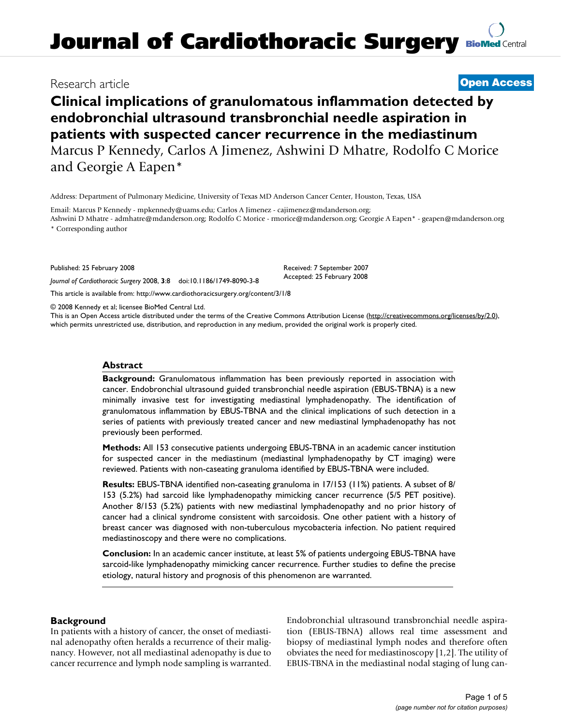# **Journal of Cardiothoracic Surgery [BioMed](http://www.biomedcentral.com/) Central**

### Research article **[Open Access](http://www.biomedcentral.com/info/about/charter/)**

# **Clinical implications of granulomatous inflammation detected by endobronchial ultrasound transbronchial needle aspiration in patients with suspected cancer recurrence in the mediastinum** Marcus P Kennedy, Carlos A Jimenez, Ashwini D Mhatre, Rodolfo C Morice and Georgie A Eapen\*

Address: Department of Pulmonary Medicine, University of Texas MD Anderson Cancer Center, Houston, Texas, USA

Email: Marcus P Kennedy - mpkennedy@uams.edu; Carlos A Jimenez - cajimenez@mdanderson.org; Ashwini D Mhatre - admhatre@mdanderson.org; Rodolfo C Morice - rmorice@mdanderson.org; Georgie A Eapen\* - geapen@mdanderson.org

\* Corresponding author

Published: 25 February 2008

*Journal of Cardiothoracic Surgery* 2008, **3**:8 doi:10.1186/1749-8090-3-8

Accepted: 25 February 2008

Received: 7 September 2007

[This article is available from: http://www.cardiothoracicsurgery.org/content/3/1/8](http://www.cardiothoracicsurgery.org/content/3/1/8)

© 2008 Kennedy et al; licensee BioMed Central Ltd.

This is an Open Access article distributed under the terms of the Creative Commons Attribution License [\(http://creativecommons.org/licenses/by/2.0\)](http://creativecommons.org/licenses/by/2.0), which permits unrestricted use, distribution, and reproduction in any medium, provided the original work is properly cited.

#### **Abstract**

**Background:** Granulomatous inflammation has been previously reported in association with cancer. Endobronchial ultrasound guided transbronchial needle aspiration (EBUS-TBNA) is a new minimally invasive test for investigating mediastinal lymphadenopathy. The identification of granulomatous inflammation by EBUS-TBNA and the clinical implications of such detection in a series of patients with previously treated cancer and new mediastinal lymphadenopathy has not previously been performed.

**Methods:** All 153 consecutive patients undergoing EBUS-TBNA in an academic cancer institution for suspected cancer in the mediastinum (mediastinal lymphadenopathy by CT imaging) were reviewed. Patients with non-caseating granuloma identified by EBUS-TBNA were included.

**Results:** EBUS-TBNA identified non-caseating granuloma in 17/153 (11%) patients. A subset of 8/ 153 (5.2%) had sarcoid like lymphadenopathy mimicking cancer recurrence (5/5 PET positive). Another 8/153 (5.2%) patients with new mediastinal lymphadenopathy and no prior history of cancer had a clinical syndrome consistent with sarcoidosis. One other patient with a history of breast cancer was diagnosed with non-tuberculous mycobacteria infection. No patient required mediastinoscopy and there were no complications.

**Conclusion:** In an academic cancer institute, at least 5% of patients undergoing EBUS-TBNA have sarcoid-like lymphadenopathy mimicking cancer recurrence. Further studies to define the precise etiology, natural history and prognosis of this phenomenon are warranted.

#### **Background**

In patients with a history of cancer, the onset of mediastinal adenopathy often heralds a recurrence of their malignancy. However, not all mediastinal adenopathy is due to cancer recurrence and lymph node sampling is warranted. Endobronchial ultrasound transbronchial needle aspiration (EBUS-TBNA) allows real time assessment and biopsy of mediastinal lymph nodes and therefore often obviates the need for mediastinoscopy [1,2]. The utility of EBUS-TBNA in the mediastinal nodal staging of lung can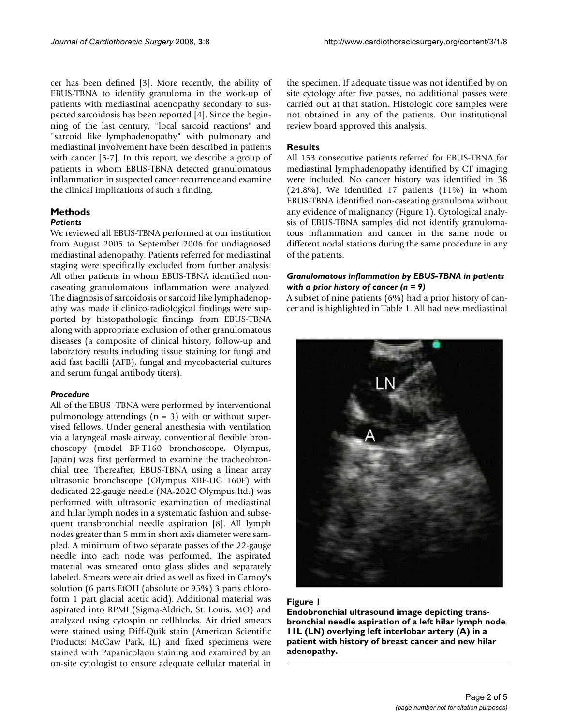cer has been defined [3]. More recently, the ability of EBUS-TBNA to identify granuloma in the work-up of patients with mediastinal adenopathy secondary to suspected sarcoidosis has been reported [4]. Since the beginning of the last century, "local sarcoid reactions" and "sarcoid like lymphadenopathy" with pulmonary and mediastinal involvement have been described in patients with cancer [5-7]. In this report, we describe a group of patients in whom EBUS-TBNA detected granulomatous inflammation in suspected cancer recurrence and examine the clinical implications of such a finding.

## **Methods**

#### *Patients*

We reviewed all EBUS-TBNA performed at our institution from August 2005 to September 2006 for undiagnosed mediastinal adenopathy. Patients referred for mediastinal staging were specifically excluded from further analysis. All other patients in whom EBUS-TBNA identified noncaseating granulomatous inflammation were analyzed. The diagnosis of sarcoidosis or sarcoid like lymphadenopathy was made if clinico-radiological findings were supported by histopathologic findings from EBUS-TBNA along with appropriate exclusion of other granulomatous diseases (a composite of clinical history, follow-up and laboratory results including tissue staining for fungi and acid fast bacilli (AFB), fungal and mycobacterial cultures and serum fungal antibody titers).

#### *Procedure*

All of the EBUS -TBNA were performed by interventional pulmonology attendings  $(n = 3)$  with or without supervised fellows. Under general anesthesia with ventilation via a laryngeal mask airway, conventional flexible bronchoscopy (model BF-T160 bronchoscope, Olympus, Japan) was first performed to examine the tracheobronchial tree. Thereafter, EBUS-TBNA using a linear array ultrasonic bronchscope (Olympus XBF-UC 160F) with dedicated 22-gauge needle (NA-202C Olympus ltd.) was performed with ultrasonic examination of mediastinal and hilar lymph nodes in a systematic fashion and subsequent transbronchial needle aspiration [8]. All lymph nodes greater than 5 mm in short axis diameter were sampled. A minimum of two separate passes of the 22-gauge needle into each node was performed. The aspirated material was smeared onto glass slides and separately labeled. Smears were air dried as well as fixed in Carnoy's solution (6 parts EtOH (absolute or 95%) 3 parts chloroform 1 part glacial acetic acid). Additional material was aspirated into RPMI (Sigma-Aldrich, St. Louis, MO) and analyzed using cytospin or cellblocks. Air dried smears were stained using Diff-Quik stain (American Scientific Products; McGaw Park, IL) and fixed specimens were stained with Papanicolaou staining and examined by an on-site cytologist to ensure adequate cellular material in

the specimen. If adequate tissue was not identified by on site cytology after five passes, no additional passes were carried out at that station. Histologic core samples were not obtained in any of the patients. Our institutional review board approved this analysis.

#### **Results**

All 153 consecutive patients referred for EBUS-TBNA for mediastinal lymphadenopathy identified by CT imaging were included. No cancer history was identified in 38 (24.8%). We identified 17 patients (11%) in whom EBUS-TBNA identified non-caseating granuloma without any evidence of malignancy (Figure 1). Cytological analysis of EBUS-TBNA samples did not identify granulomatous inflammation and cancer in the same node or different nodal stations during the same procedure in any of the patients.

#### *Granulomatous inflammation by EBUS-TBNA in patients with a prior history of cancer (n = 9)*

A subset of nine patients (6%) had a prior history of cancer and is highlighted in Table 1. All had new mediastinal



#### Figure I

**Endobronchial ultrasound image depicting transbronchial needle aspiration of a left hilar lymph node 11L (LN) overlying left interlobar artery (A) in a patient with history of breast cancer and new hilar adenopathy.**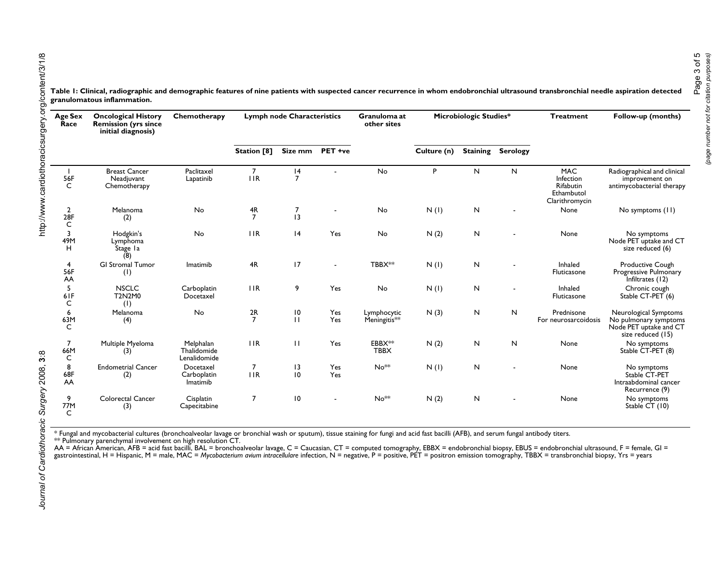| Age Sex<br>Race            | <b>Oncological History</b><br><b>Remission (yrs since</b><br>initial diagnosis) | Chemotherapy                             | <b>Lymph node Characteristics</b> |                     |            | Granuloma at<br>other sites | <b>Microbiologic Studies*</b> |           |                          | <b>Treatment</b>                                                     | Follow-up (months)                                                                            |
|----------------------------|---------------------------------------------------------------------------------|------------------------------------------|-----------------------------------|---------------------|------------|-----------------------------|-------------------------------|-----------|--------------------------|----------------------------------------------------------------------|-----------------------------------------------------------------------------------------------|
|                            |                                                                                 |                                          | Station [8]                       | Size mm             | PET +ve    |                             | Culture (n)                   |           | <b>Staining Serology</b> |                                                                      |                                                                                               |
| 56F                        | <b>Breast Cancer</b><br>Neadjuvant<br>Chemotherapy                              | Paclitaxel<br>Lapatinib                  | $\overline{7}$<br><b>IIR</b>      | 4<br>$\overline{7}$ |            | <b>No</b>                   | P                             | N         | N                        | <b>MAC</b><br>Infection<br>Rifabutin<br>Ethambutol<br>Clarithromycin | Radiographical and clinical<br>improvement on<br>antimycobacterial therapy                    |
| $\frac{2}{28F}$<br>C       | Melanoma<br>(2)                                                                 | No                                       | 4R<br>$\overline{7}$              | 7<br>13             |            | No                          | N(1)                          | N         |                          | None                                                                 | No symptoms (11)                                                                              |
| 3<br>49M<br>H              | Hodgkin's<br>Lymphoma<br>Stage la                                               | <b>No</b>                                | 1IR                               | 4                   | Yes        | No                          | N(2)                          | N         |                          | None                                                                 | No symptoms<br>Node PET uptake and CT<br>size reduced (6)                                     |
| 4<br>56F<br>AA             | <b>GI Stromal Tumor</b><br>$(\mathsf{I})$                                       | Imatimib                                 | 4R                                | 17                  |            | TBBX**                      | N(1)                          | N         |                          | Inhaled<br>Fluticasone                                               | Productive Cough<br>Progressive Pulmonary<br>Infiltrates (12)                                 |
| 5<br>6IF<br>C              | <b>NSCLC</b><br>T2N2M0<br>(1)                                                   | Carboplatin<br>Docetaxel                 | 11R                               | 9                   | Yes        | No                          | N(1)                          | N         |                          | Inhaled<br>Fluticasone                                               | Chronic cough<br>Stable CT-PET (6)                                                            |
| 6<br>63M<br>C              | Melanoma<br>(4)                                                                 | No                                       | $\frac{2R}{7}$                    | 10<br>$\mathbf{H}$  | Yes<br>Yes | Lymphocytic<br>Meningitis** | N(3)                          | N         | N                        | Prednisone<br>For neurosarcoidosis                                   | Neurological Symptoms<br>No pulmonary symptoms<br>Node PET uptake and CT<br>size reduced (15) |
| $\overline{7}$<br>66M<br>C | Multiple Myeloma<br>(3)                                                         | Melphalan<br>Thalidomide<br>Lenalidomide | 1IR                               | $\mathbf{H}$        | Yes        | EBBX**<br><b>TBBX</b>       | N(2)                          | N         | $\mathsf{N}$             | None                                                                 | No symptoms<br>Stable CT-PET (8)                                                              |
| 8<br>68F<br>AA             | <b>Endometrial Cancer</b><br>(2)                                                | Docetaxel<br>Carboplatin<br>Imatimib     | 7<br>IIR                          | 13<br>10            | Yes<br>Yes | $No**$                      | N(1)                          | ${\sf N}$ |                          | None                                                                 | No symptoms<br>Stable CT-PET<br>Intraabdominal cancer<br>Recurrence (9)                       |
| 9<br>77M<br>$\mathsf{C}$   | Colorectal Cancer<br>(3)                                                        | Cisplatin<br>Capecitabine                | $\overline{7}$                    | 10                  |            | $No**$                      | N(2)                          | N         | $\overline{\phantom{0}}$ | None                                                                 | No symptoms<br>Stable CT (10)                                                                 |

Table 1: Clinical, radiographic and demographic features of nine patients with suspected cancer recurrence in whom endobronchial ultrasound transbronchial needle aspiration detected **granulomatous inflammation.**

\* Fungal and mycobacterial cultures (bronchoalveolar lavage or bronchial wash or sputum), tissue staining for fungi and acid fast bacilli (AFB), and serum fungal antibody titers. \*\* Pulmonary parenchymal involvement on high resolution CT.

AA = African American, AFB = acid fast bacilli, BAL = bronchoalveolar lavage, C = Caucasian, CT = computed tomography, EBBX = endobronchial biopsy, EBUS = endobronchial ultrasound, F = female, GI = gastrointestinal, H = Hispanic, M = male, MAC = *Mycobacterium avium intracellulare* infection, N = negative, P = positive, PET = positron emission tomography, TBBX = transbronchial biopsy, Yrs = years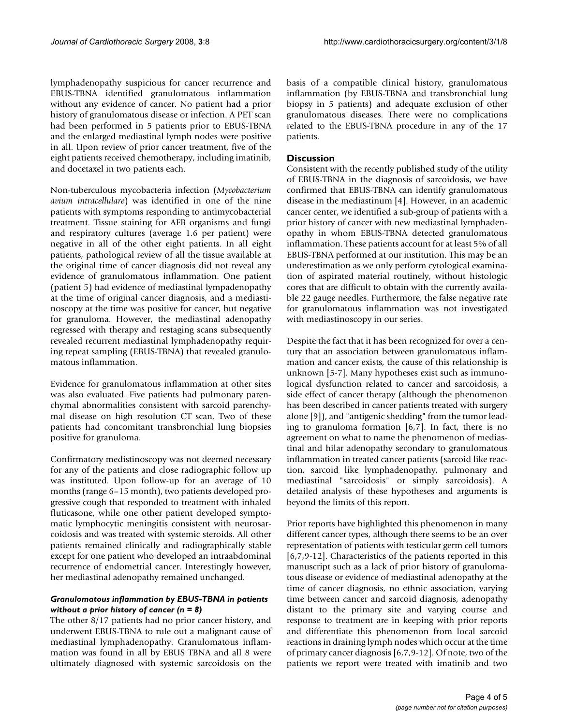lymphadenopathy suspicious for cancer recurrence and EBUS-TBNA identified granulomatous inflammation without any evidence of cancer. No patient had a prior history of granulomatous disease or infection. A PET scan had been performed in 5 patients prior to EBUS-TBNA and the enlarged mediastinal lymph nodes were positive in all. Upon review of prior cancer treatment, five of the eight patients received chemotherapy, including imatinib, and docetaxel in two patients each.

Non-tuberculous mycobacteria infection (*Mycobacterium avium intracellulare*) was identified in one of the nine patients with symptoms responding to antimycobacterial treatment. Tissue staining for AFB organisms and fungi and respiratory cultures (average 1.6 per patient) were negative in all of the other eight patients. In all eight patients, pathological review of all the tissue available at the original time of cancer diagnosis did not reveal any evidence of granulomatous inflammation. One patient (patient 5) had evidence of mediastinal lympadenopathy at the time of original cancer diagnosis, and a mediastinoscopy at the time was positive for cancer, but negative for granuloma. However, the mediastinal adenopathy regressed with therapy and restaging scans subsequently revealed recurrent mediastinal lymphadenopathy requiring repeat sampling (EBUS-TBNA) that revealed granulomatous inflammation.

Evidence for granulomatous inflammation at other sites was also evaluated. Five patients had pulmonary parenchymal abnormalities consistent with sarcoid parenchymal disease on high resolution CT scan. Two of these patients had concomitant transbronchial lung biopsies positive for granuloma.

Confirmatory medistinoscopy was not deemed necessary for any of the patients and close radiographic follow up was instituted. Upon follow-up for an average of 10 months (range 6–15 month), two patients developed progressive cough that responded to treatment with inhaled fluticasone, while one other patient developed symptomatic lymphocytic meningitis consistent with neurosarcoidosis and was treated with systemic steroids. All other patients remained clinically and radiographically stable except for one patient who developed an intraabdominal recurrence of endometrial cancer. Interestingly however, her mediastinal adenopathy remained unchanged.

#### *Granulomatous inflammation by EBUS-TBNA in patients without a prior history of cancer (n = 8)*

The other 8/17 patients had no prior cancer history, and underwent EBUS-TBNA to rule out a malignant cause of mediastinal lymphadenopathy. Granulomatous inflammation was found in all by EBUS TBNA and all 8 were ultimately diagnosed with systemic sarcoidosis on the basis of a compatible clinical history, granulomatous inflammation (by EBUS-TBNA and transbronchial lung biopsy in 5 patients) and adequate exclusion of other granulomatous diseases. There were no complications related to the EBUS-TBNA procedure in any of the 17 patients.

#### **Discussion**

Consistent with the recently published study of the utility of EBUS-TBNA in the diagnosis of sarcoidosis, we have confirmed that EBUS-TBNA can identify granulomatous disease in the mediastinum [4]. However, in an academic cancer center, we identified a sub-group of patients with a prior history of cancer with new mediastinal lymphadenopathy in whom EBUS-TBNA detected granulomatous inflammation. These patients account for at least 5% of all EBUS-TBNA performed at our institution. This may be an underestimation as we only perform cytological examination of aspirated material routinely, without histologic cores that are difficult to obtain with the currently available 22 gauge needles. Furthermore, the false negative rate for granulomatous inflammation was not investigated with mediastinoscopy in our series.

Despite the fact that it has been recognized for over a century that an association between granulomatous inflammation and cancer exists, the cause of this relationship is unknown [5-7]. Many hypotheses exist such as immunological dysfunction related to cancer and sarcoidosis, a side effect of cancer therapy (although the phenomenon has been described in cancer patients treated with surgery alone [9]), and "antigenic shedding" from the tumor leading to granuloma formation [6,7]. In fact, there is no agreement on what to name the phenomenon of mediastinal and hilar adenopathy secondary to granulomatous inflammation in treated cancer patients (sarcoid like reaction, sarcoid like lymphadenopathy, pulmonary and mediastinal "sarcoidosis" or simply sarcoidosis). A detailed analysis of these hypotheses and arguments is beyond the limits of this report.

Prior reports have highlighted this phenomenon in many different cancer types, although there seems to be an over representation of patients with testicular germ cell tumors [6,7,9-12]. Characteristics of the patients reported in this manuscript such as a lack of prior history of granulomatous disease or evidence of mediastinal adenopathy at the time of cancer diagnosis, no ethnic association, varying time between cancer and sarcoid diagnosis, adenopathy distant to the primary site and varying course and response to treatment are in keeping with prior reports and differentiate this phenomenon from local sarcoid reactions in draining lymph nodes which occur at the time of primary cancer diagnosis [6,7,9-12]. Of note, two of the patients we report were treated with imatinib and two